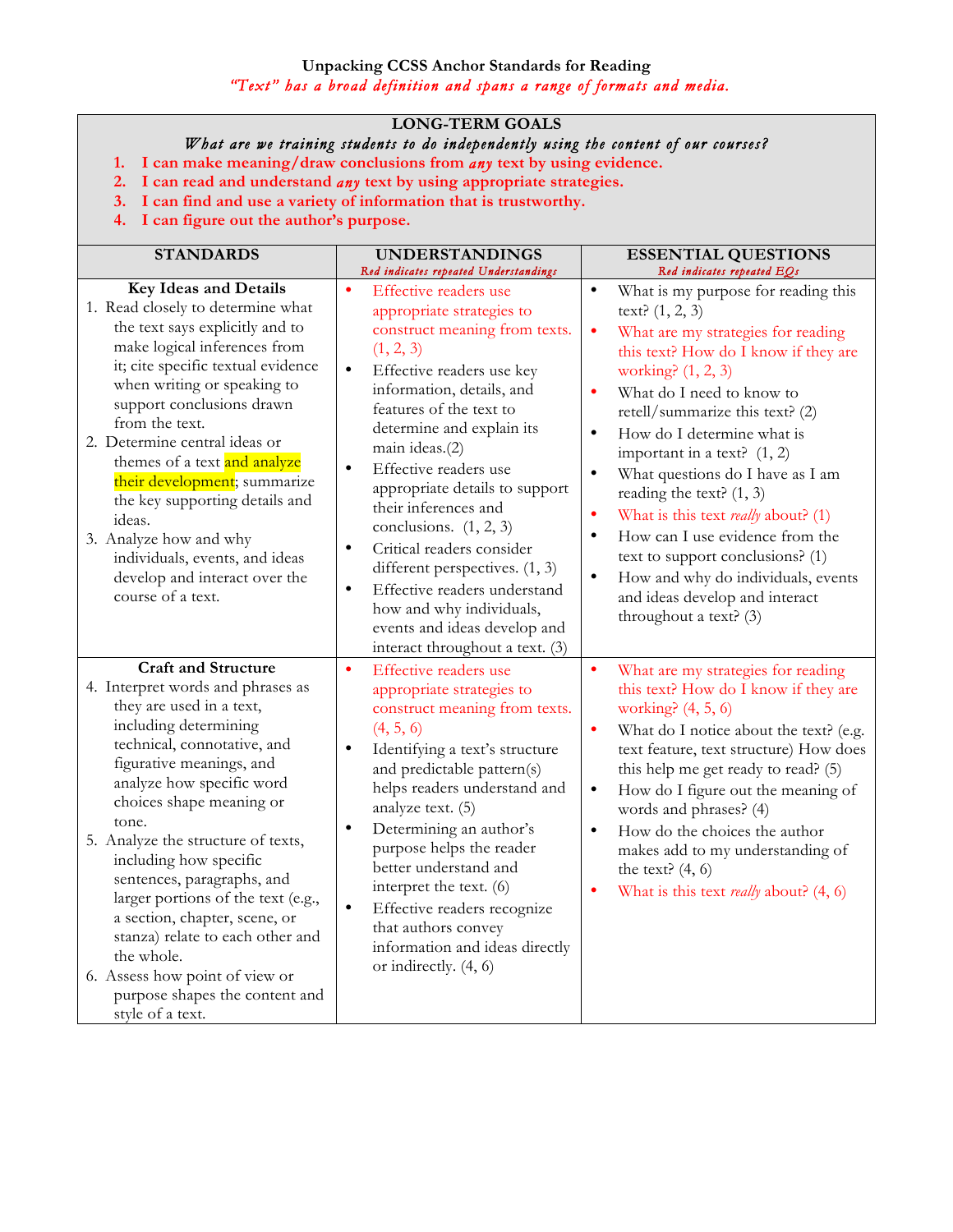## **Unpacking CCSS Anchor Standards for Reading**  *"Text" has a broad definition and spans a range of formats and media.*

## **LONG-TERM GOALS**

## *What are we training students to do independently using the content of our courses?*

- **1. I can make meaning/draw conclusions from** *any* **text by using evidence.**
- **2. I can read and understand** *any* **text by using appropriate strategies.**
- **3. I can find and use a variety of information that is trustworthy.**
- **4. I can figure out the author's purpose.**

| <b>STANDARDS</b>                                                                                                                                                                                                                                                                                                                                                                                                                                                                                                                                                 | <b>UNDERSTANDINGS</b><br>Red indicates repeated Understandings                                                                                                                                                                                                                                                                                                                                                                                                                                                                                                                                                     | <b>ESSENTIAL QUESTIONS</b><br>Red indicates repeated EQs                                                                                                                                                                                                                                                                                                                                                                                                                                                                                                                                                                                                                                     |
|------------------------------------------------------------------------------------------------------------------------------------------------------------------------------------------------------------------------------------------------------------------------------------------------------------------------------------------------------------------------------------------------------------------------------------------------------------------------------------------------------------------------------------------------------------------|--------------------------------------------------------------------------------------------------------------------------------------------------------------------------------------------------------------------------------------------------------------------------------------------------------------------------------------------------------------------------------------------------------------------------------------------------------------------------------------------------------------------------------------------------------------------------------------------------------------------|----------------------------------------------------------------------------------------------------------------------------------------------------------------------------------------------------------------------------------------------------------------------------------------------------------------------------------------------------------------------------------------------------------------------------------------------------------------------------------------------------------------------------------------------------------------------------------------------------------------------------------------------------------------------------------------------|
| <b>Key Ideas and Details</b><br>1. Read closely to determine what<br>the text says explicitly and to<br>make logical inferences from<br>it; cite specific textual evidence<br>when writing or speaking to<br>support conclusions drawn<br>from the text.<br>2. Determine central ideas or<br>themes of a text and analyze<br>their development; summarize<br>the key supporting details and<br>ideas.<br>3. Analyze how and why<br>individuals, events, and ideas<br>develop and interact over the<br>course of a text.                                          | $\bullet$<br>Effective readers use<br>appropriate strategies to<br>construct meaning from texts.<br>(1, 2, 3)<br>$\bullet$<br>Effective readers use key<br>information, details, and<br>features of the text to<br>determine and explain its<br>main ideas.(2)<br>$\bullet$<br>Effective readers use<br>appropriate details to support<br>their inferences and<br>conclusions. $(1, 2, 3)$<br>Critical readers consider<br>$\bullet$<br>different perspectives. (1, 3)<br>Effective readers understand<br>$\bullet$<br>how and why individuals,<br>events and ideas develop and<br>interact throughout a text. (3) | What is my purpose for reading this<br>$\bullet$<br>text? $(1, 2, 3)$<br>$\bullet$<br>What are my strategies for reading<br>this text? How do I know if they are<br>working? (1, 2, 3)<br>What do I need to know to<br>$\bullet$<br>retell/summarize this text? (2)<br>How do I determine what is<br>$\bullet$<br>important in a text? $(1, 2)$<br>What questions do I have as I am<br>$\bullet$<br>reading the text? $(1, 3)$<br>$\bullet$<br>What is this text <i>really</i> about? (1)<br>How can I use evidence from the<br>$\bullet$<br>text to support conclusions? (1)<br>$\bullet$<br>How and why do individuals, events<br>and ideas develop and interact<br>throughout a text? (3) |
| <b>Craft and Structure</b><br>4. Interpret words and phrases as<br>they are used in a text,<br>including determining<br>technical, connotative, and<br>figurative meanings, and<br>analyze how specific word<br>choices shape meaning or<br>tone.<br>5. Analyze the structure of texts,<br>including how specific<br>sentences, paragraphs, and<br>larger portions of the text (e.g.,<br>a section, chapter, scene, or<br>stanza) relate to each other and<br>the whole.<br>6. Assess how point of view or<br>purpose shapes the content and<br>style of a text. | $\bullet$<br><b>Effective readers use</b><br>appropriate strategies to<br>construct meaning from texts.<br>(4, 5, 6)<br>Identifying a text's structure<br>$\bullet$<br>and predictable pattern(s)<br>helps readers understand and<br>analyze text. (5)<br>Determining an author's<br>$\bullet$<br>purpose helps the reader<br>better understand and<br>interpret the text. (6)<br>$\bullet$<br>Effective readers recognize<br>that authors convey<br>information and ideas directly<br>or indirectly. (4, 6)                                                                                                       | $\bullet$<br>What are my strategies for reading<br>this text? How do I know if they are<br>working? $(4, 5, 6)$<br>What do I notice about the text? (e.g.<br>$\bullet$<br>text feature, text structure) How does<br>this help me get ready to read? (5)<br>How do I figure out the meaning of<br>$\bullet$<br>words and phrases? (4)<br>How do the choices the author<br>$\bullet$<br>makes add to my understanding of<br>the text? $(4, 6)$<br>What is this text <i>really</i> about? (4, 6)<br>$\bullet$                                                                                                                                                                                   |